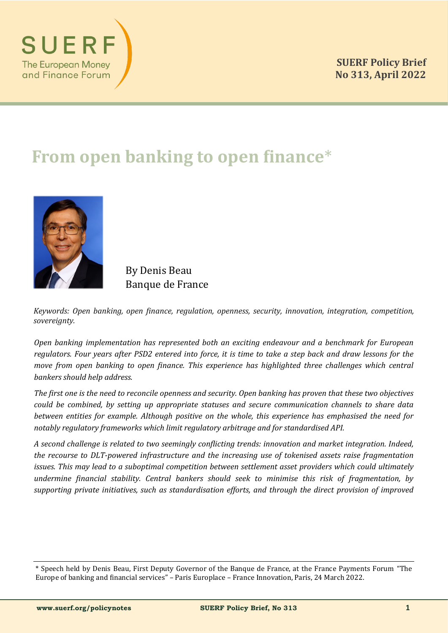

# **From open banking to open finance**\*



By Denis Beau Banque de France

*Keywords: Open banking, open finance, regulation, openness, security, innovation, integration, competition, sovereignty.*

*Open banking implementation has represented both an exciting endeavour and a benchmark for European regulators. Four years after PSD2 entered into force, it is time to take a step back and draw lessons for the move from open banking to open finance. This experience has highlighted three challenges which central bankers should help address.*

*The first one is the need to reconcile openness and security. Open banking has proven that these two objectives could be combined, by setting up appropriate statuses and secure communication channels to share data between entities for example. Although positive on the whole, this experience has emphasised the need for notably regulatory frameworks which limit regulatory arbitrage and for standardised API.*

*A second challenge is related to two seemingly conflicting trends: innovation and market integration. Indeed, the recourse to DLT-powered infrastructure and the increasing use of tokenised assets raise fragmentation issues. This may lead to a suboptimal competition between settlement asset providers which could ultimately undermine financial stability. Central bankers should seek to minimise this risk of fragmentation, by supporting private initiatives, such as standardisation efforts, and through the direct provision of improved* 

<sup>\*</sup> Speech held by Denis Beau, First Deputy Governor of the Banque de France, at the France Payments Forum "The Europe of banking and financial services" – Paris Europlace – France Innovation, Paris, 24 March 2022.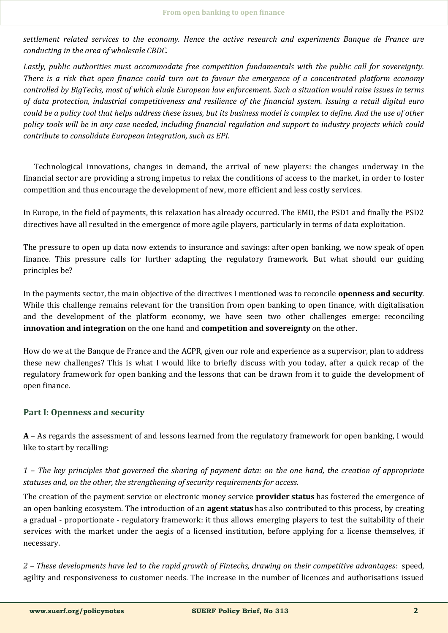*settlement related services to the economy. Hence the active research and experiments Banque de France are conducting in the area of wholesale CBDC.*

*Lastly, public authorities must accommodate free competition fundamentals with the public call for sovereignty. There is a risk that open finance could turn out to favour the emergence of a concentrated platform economy controlled by BigTechs, most of which elude European law enforcement. Such a situation would raise issues in terms of data protection, industrial competitiveness and resilience of the financial system. Issuing a retail digital euro could be a policy tool that helps address these issues, but its business model is complex to define. And the use of other policy tools will be in any case needed, including financial regulation and support to industry projects which could contribute to consolidate European integration, such as EPI.*

Technological innovations, changes in demand, the arrival of new players: the changes underway in the financial sector are providing a strong impetus to relax the conditions of access to the market, in order to foster competition and thus encourage the development of new, more efficient and less costly services.

In Europe, in the field of payments, this relaxation has already occurred. The EMD, the PSD1 and finally the PSD2 directives have all resulted in the emergence of more agile players, particularly in terms of data exploitation.

The pressure to open up data now extends to insurance and savings: after open banking, we now speak of open finance. This pressure calls for further adapting the regulatory framework. But what should our guiding principles be?

In the payments sector, the main objective of the directives I mentioned was to reconcile **openness and security**. While this challenge remains relevant for the transition from open banking to open finance, with digitalisation and the development of the platform economy, we have seen two other challenges emerge: reconciling **innovation and integration** on the one hand and **competition and sovereignty** on the other.

How do we at the Banque de France and the ACPR, given our role and experience as a supervisor, plan to address these new challenges? This is what I would like to briefly discuss with you today, after a quick recap of the regulatory framework for open banking and the lessons that can be drawn from it to guide the development of open finance.

### **Part I: Openness and security**

**A** – As regards the assessment of and lessons learned from the regulatory framework for open banking, I would like to start by recalling:

# *1 – The key principles that governed the sharing of payment data: on the one hand, the creation of appropriate statuses and, on the other, the strengthening of security requirements for access.*

The creation of the payment service or electronic money service **provider status** has fostered the emergence of an open banking ecosystem. The introduction of an **agent status** has also contributed to this process, by creating a gradual - proportionate - regulatory framework: it thus allows emerging players to test the suitability of their services with the market under the aegis of a licensed institution, before applying for a license themselves, if necessary.

*2 – These developments have led to the rapid growth of Fintechs, drawing on their competitive advantages*: speed, agility and responsiveness to customer needs. The increase in the number of licences and authorisations issued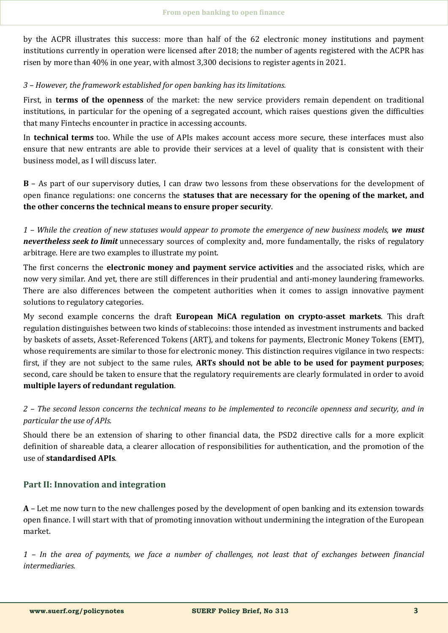by the ACPR illustrates this success: more than half of the 62 electronic money institutions and payment institutions currently in operation were licensed after 2018; the number of agents registered with the ACPR has risen by more than 40% in one year, with almost 3,300 decisions to register agents in 2021.

#### *3 – However, the framework established for open banking has its limitations.*

First, in **terms of the openness** of the market: the new service providers remain dependent on traditional institutions, in particular for the opening of a segregated account, which raises questions given the difficulties that many Fintechs encounter in practice in accessing accounts.

In **technical terms** too. While the use of APIs makes account access more secure, these interfaces must also ensure that new entrants are able to provide their services at a level of quality that is consistent with their business model, as I will discuss later.

**B** – As part of our supervisory duties, I can draw two lessons from these observations for the development of open finance regulations: one concerns the **statuses that are necessary for the opening of the market, and the other concerns the technical means to ensure proper security**.

*1 – While the creation of new statuses would appear to promote the emergence of new business models, we must nevertheless seek to limit* unnecessary sources of complexity and, more fundamentally, the risks of regulatory arbitrage. Here are two examples to illustrate my point.

The first concerns the **electronic money and payment service activities** and the associated risks, which are now very similar. And yet, there are still differences in their prudential and anti-money laundering frameworks. There are also differences between the competent authorities when it comes to assign innovative payment solutions to regulatory categories.

My second example concerns the draft **European MiCA regulation on crypto-asset markets**. This draft regulation distinguishes between two kinds of stablecoins: those intended as investment instruments and backed by baskets of assets, Asset-Referenced Tokens (ART), and tokens for payments, Electronic Money Tokens (EMT), whose requirements are similar to those for electronic money. This distinction requires vigilance in two respects: first, if they are not subject to the same rules, **ARTs should not be able to be used for payment purposes**; second, care should be taken to ensure that the regulatory requirements are clearly formulated in order to avoid **multiple layers of redundant regulation**.

# *2 – The second lesson concerns the technical means to be implemented to reconcile openness and security, and in particular the use of APIs.*

Should there be an extension of sharing to other financial data, the PSD2 directive calls for a more explicit definition of shareable data, a clearer allocation of responsibilities for authentication, and the promotion of the use of **standardised APIs**.

### **Part II: Innovation and integration**

**A** – Let me now turn to the new challenges posed by the development of open banking and its extension towards open finance. I will start with that of promoting innovation without undermining the integration of the European market.

*1 – In the area of payments, we face a number of challenges, not least that of exchanges between financial intermediaries.*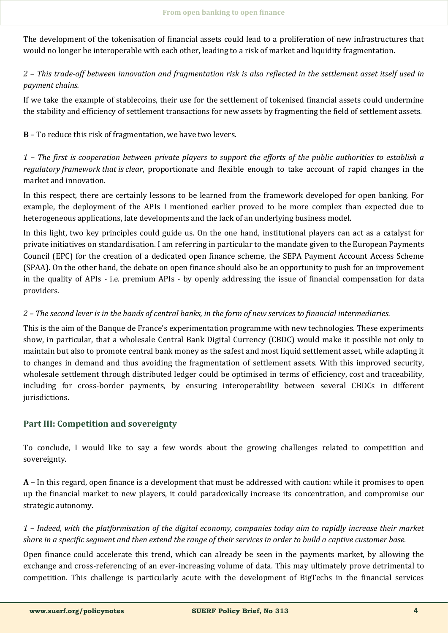The development of the tokenisation of financial assets could lead to a proliferation of new infrastructures that would no longer be interoperable with each other, leading to a risk of market and liquidity fragmentation.

# *2 – This trade-off between innovation and fragmentation risk is also reflected in the settlement asset itself used in payment chains.*

If we take the example of stablecoins, their use for the settlement of tokenised financial assets could undermine the stability and efficiency of settlement transactions for new assets by fragmenting the field of settlement assets.

**B** – To reduce this risk of fragmentation, we have two levers.

*1 – The first is cooperation between private players to support the efforts of the public authorities to establish a regulatory framework that is clear*, proportionate and flexible enough to take account of rapid changes in the market and innovation.

In this respect, there are certainly lessons to be learned from the framework developed for open banking. For example, the deployment of the APIs I mentioned earlier proved to be more complex than expected due to heterogeneous applications, late developments and the lack of an underlying business model.

In this light, two key principles could guide us. On the one hand, institutional players can act as a catalyst for private initiatives on standardisation. I am referring in particular to the mandate given to the European Payments Council (EPC) for the creation of a dedicated open finance scheme, the SEPA Payment Account Access Scheme (SPAA). On the other hand, the debate on open finance should also be an opportunity to push for an improvement in the quality of APIs - i.e. premium APIs - by openly addressing the issue of financial compensation for data providers.

## *2 – The second lever is in the hands of central banks, in the form of new services to financial intermediaries.*

This is the aim of the Banque de France's experimentation programme with new technologies. These experiments show, in particular, that a wholesale Central Bank Digital Currency (CBDC) would make it possible not only to maintain but also to promote central bank money as the safest and most liquid settlement asset, while adapting it to changes in demand and thus avoiding the fragmentation of settlement assets. With this improved security, wholesale settlement through distributed ledger could be optimised in terms of efficiency, cost and traceability, including for cross-border payments, by ensuring interoperability between several CBDCs in different jurisdictions.

# **Part III: Competition and sovereignty**

To conclude, I would like to say a few words about the growing challenges related to competition and sovereignty.

**A** – In this regard, open finance is a development that must be addressed with caution: while it promises to open up the financial market to new players, it could paradoxically increase its concentration, and compromise our strategic autonomy.

*1 – Indeed, with the platformisation of the digital economy, companies today aim to rapidly increase their market share in a specific segment and then extend the range of their services in order to build a captive customer base*.

Open finance could accelerate this trend, which can already be seen in the payments market, by allowing the exchange and cross-referencing of an ever-increasing volume of data. This may ultimately prove detrimental to competition. This challenge is particularly acute with the development of BigTechs in the financial services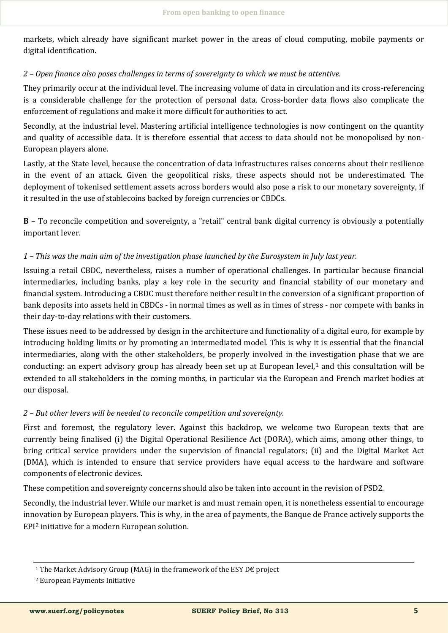markets, which already have significant market power in the areas of cloud computing, mobile payments or digital identification.

## *2 – Open finance also poses challenges in terms of sovereignty to which we must be attentive.*

They primarily occur at the individual level. The increasing volume of data in circulation and its cross-referencing is a considerable challenge for the protection of personal data. Cross-border data flows also complicate the enforcement of regulations and make it more difficult for authorities to act.

Secondly, at the industrial level. Mastering artificial intelligence technologies is now contingent on the quantity and quality of accessible data. It is therefore essential that access to data should not be monopolised by non-European players alone.

Lastly, at the State level, because the concentration of data infrastructures raises concerns about their resilience in the event of an attack. Given the geopolitical risks, these aspects should not be underestimated. The deployment of tokenised settlement assets across borders would also pose a risk to our monetary sovereignty, if it resulted in the use of stablecoins backed by foreign currencies or CBDCs.

**B** – To reconcile competition and sovereignty, a "retail" central bank digital currency is obviously a potentially important lever.

## *1* – *This was the main aim of the investigation phase launched by the Eurosystem in July last year.*

Issuing a retail CBDC, nevertheless, raises a number of operational challenges. In particular because financial intermediaries, including banks, play a key role in the security and financial stability of our monetary and financial system. Introducing a CBDC must therefore neither result in the conversion of a significant proportion of bank deposits into assets held in CBDCs - in normal times as well as in times of stress - nor compete with banks in their day-to-day relations with their customers.

These issues need to be addressed by design in the architecture and functionality of a digital euro, for example by introducing holding limits or by promoting an intermediated model. This is why it is essential that the financial intermediaries, along with the other stakeholders, be properly involved in the investigation phase that we are conducting: an expert advisory group has already been set up at European level, $1$  and this consultation will be extended to all stakeholders in the coming months, in particular via the European and French market bodies at our disposal.

# *2 – But other levers will be needed to reconcile competition and sovereignty.*

First and foremost, the regulatory lever. Against this backdrop, we welcome two European texts that are currently being finalised (i) the Digital Operational Resilience Act (DORA), which aims, among other things, to bring critical service providers under the supervision of financial regulators; (ii) and the Digital Market Act (DMA), which is intended to ensure that service providers have equal access to the hardware and software components of electronic devices.

These competition and sovereignty concerns should also be taken into account in the revision of PSD2.

Secondly, the industrial lever. While our market is and must remain open, it is nonetheless essential to encourage innovation by European players. This is why, in the area of payments, the Banque de France actively supports the EPI<sup>2</sup> initiative for a modern European solution.

<sup>&</sup>lt;sup>1</sup> The Market Advisory Group (MAG) in the framework of the ESY D $\epsilon$  project

<sup>2</sup> European Payments Initiative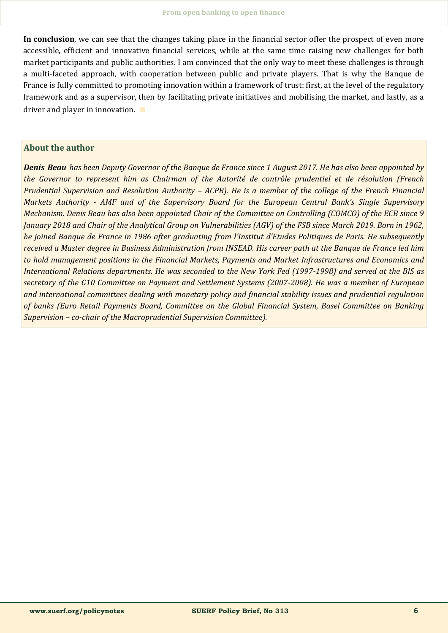**In conclusion**, we can see that the changes taking place in the financial sector offer the prospect of even more accessible, efficient and innovative financial services, while at the same time raising new challenges for both market participants and public authorities. I am convinced that the only way to meet these challenges is through a multi-faceted approach, with cooperation between public and private players. That is why the Banque de France is fully committed to promoting innovation within a framework of trust: first, at the level of the regulatory framework and as a supervisor, then by facilitating private initiatives and mobilising the market, and lastly, as a driver and player in innovation. ∎

#### **About the author**

*Denis Beau has been Deputy Governor of the Banque de France since 1 August 2017. He has also been appointed by the Governor to represent him as Chairman of the Autorité de contrôle prudentiel et de résolution (French Prudential Supervision and Resolution Authority – ACPR). He is a member of the college of the French Financial Markets Authority - AMF and of the Supervisory Board for the European Central Bank's Single Supervisory Mechanism. Denis Beau has also been appointed Chair of the Committee on Controlling (COMCO) of the ECB since 9 January 2018 and Chair of the Analytical Group on Vulnerabilities (AGV) of the FSB since March 2019. Born in 1962, he joined Banque de France in 1986 after graduating from l'Institut d'Etudes Politiques de Paris. He subsequently received a Master degree in Business Administration from INSEAD. His career path at the Banque de France led him to hold management positions in the Financial Markets, Payments and Market Infrastructures and Economics and International Relations departments. He was seconded to the New York Fed (1997-1998) and served at the BIS as secretary of the G10 Committee on Payment and Settlement Systems (2007-2008). He was a member of European and international committees dealing with monetary policy and financial stability issues and prudential regulation of banks (Euro Retail Payments Board, Committee on the Global Financial System, Basel Committee on Banking Supervision – co-chair of the Macroprudential Supervision Committee).*